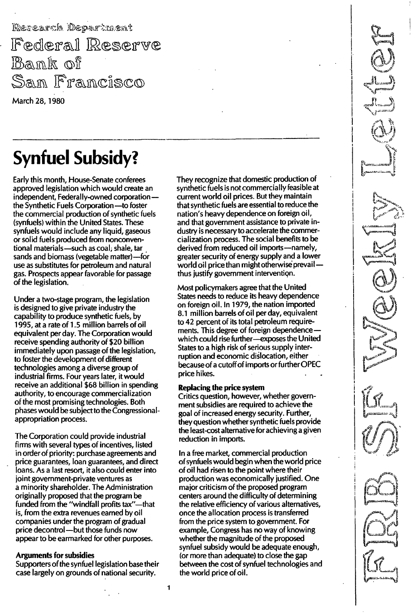Research Department Federal Reserve Bank of San Francisco March 28, 1980

# Synfuel Subsidy?

Early this month, House-Senate conferees approved legislation which would create an independent, Federally-owned corporationthe Synthetic Fuels Corporation -to foster the commercial production of synthetic fuels (synfuels) within the United States. These synfuels would include any liquid, gaseous or solid fuels produced from nonconventional materials-such as coal; shale, tar sands and biomass (vegetable matter)-for use as substitutes for petroleum and natural gas. Prospects appear favorable for passage of the legislation.

Under a two-stage program, the legislation is designed to give private industry the capability to produce synthetic fuels, by 1 995, at a rate of 1.5 million barrels of oil equivalent per day. The Corporation would receive spending authority of \$20 billion immediately upon passage of the legislation, to foster the development of different technologies among a diverse group of industrial firms. Four years later, it would receive an additional \$68 billion in spending authority, to encourage commercialization of the most promising technologies. Both phases would be subject to the Congressionalappropriation process.

The Corporation could provide industrial firms with several types of incentives, listed in order of priority: purchase agreements and price guarantees, loan guarantees, and direct loans. As a last resort, it also could enter into joint government-private ventures as a minority shareholder. The Administration originally proposed that the program be funded from the "windfall profits tax"-that is, from the extra revenues earned by oiI companies under the program of gradual price decontrol-but those funds now appear to be earmarked for other purposes.

### Arguments for subsidies

Supporters of the synfuel legislation base their case largely on grounds of national security.

They recognize that domestic production of synthetic fuels is not commercially feasible at current world oil prices. But they maintain that synthetic fuels are essential to reduce the nation's heavy dependence on foreign oil, and that government assistance to private industry is necessary to accelerate the commercialization process. The social benefits to be derived from reduced oil imports-namely, greater security of energy supply and a lower world oil price than might otherwise prevailthus justify government intervention.

Most policymakers agree that the United States needs to reduce its heavy dependence on foreign oil. In 1979, the nation imported 8.1 million barrels of oil per day, equivalent to 42 percent of its total petroleum requirements. This degree of foreign dependencewhich could rise further-exposes the United States to a high risk of serious supply interruption and economic dislocation, either because of a cutoff of imports or further OPEC price hikes.

#### Replacing the price system

Critics question, however, whether government subsidies are required to achieve the goal of increased energy security. Further, they question whether synthetic fuels provide the least-cost alternative for achieving a given reduction in imports.

In a free market, commercial production of synfuels would begin when the world price of oil had risen to the point where their production was economically justified. One major criticism of the proposed program centers around the difficulty of determining the relative efficiency of various alternatives, once the allocation process is transferred from the price system to government. For example, Congress has no way of knowing whether the magnitude of the proposed synfuel subsidy would be adequate enough, (or more than adequate) to close the gap between the cost of synfuel technologies and the world price of oil.

--\_....... -.\_-\_.\_------\_ .. --...-.-.\_--\_..\_----\_ ...\_---.....---\_..\_-\_.\_.\_-,,-....... -\_.\_.......\_.\_-\_.......- ..\_.\_-- •..\_--...-- ---------"- - ------ ------------ ----------------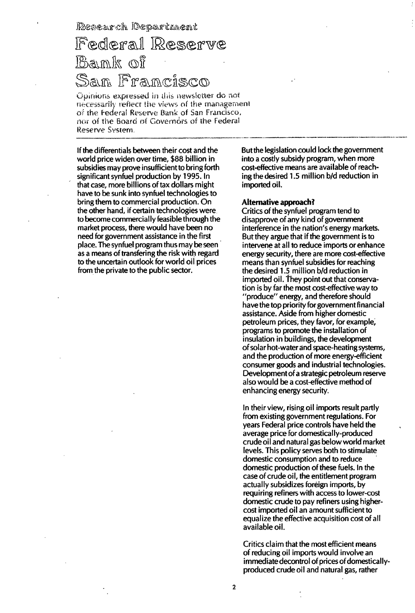Research Department

# Federal Reserve Bank of Sam Francisco

Opinions expressed in this newsletter do not necessarily reflect the views of the management of the Federal Reserve Bank of San Francisco, nor of the Board of Governors of the Federal Reserve System.

If the differentials between their cost and the world price widen over time, \$88 billion in subsidies may prove insufficient to bring forth significant synfuel production by 1 995. In that case, more billions of tax dollars might have to be sunk into synfuel technologies to bring them to commercial production. On the other hand, if certain technologies were to become commercially feasible through the market process, there would have been no need for government assistance in the first place. The synfuel program thus may be seen as a means of transfering the risk with regard to the uncertain outlook for world oil prices from the private to the public sector.

Butthe legislation could lock the government into a costly subsidy program, when more cost-effective means are available of reaching the desired 1.5 million b/d reduction in imported oil.

#### Alternative approach?

Critics of the synfuel program tend to disapprove of any kind of government interference in the nation's energy markets. But they argue that if the government is to intervene at all to reduce imports or enhance energy security, there are more cost-effective means than synfuel subsidies for reaching the desired 1.5 million b/d reduction in imported oil. They point out that conservation is by far the most cost-effective way to "produce" energy, and therefore should have the top priority for government financial assistance. Aside from higher domestic petroleum prices, they favor, for example, programs to promote the installation of insulation in buildings, the development of solar hot-water and space-heating systems, and the production of more energy-efficient consumer goods and industrial technologies. Development of a strategic petroleum reserve also would be a cost-effective method of enhancing energy security.

In their view, rising oil imports result partly from existing government regulations. For years Federal price controls have held the average price for domestically-produced crude oil and natural gas below world market levels. This policy serves both to stimulate domestic consumption and to reduce domestic production of these fuels. In the case of crude oil, the entitlement program actually subsidizes foreign imports, by requiring refiners with access to lower-cost domestic crude to pay refiners using highercost imported oil an amount sufficient to equalize the effective acquisition cost of all available oil.

Critics claim that the most efficient means of reducing oil imports would involve an immediate decontrol of prices of domesticallyproduced crude oil and natural gas, rather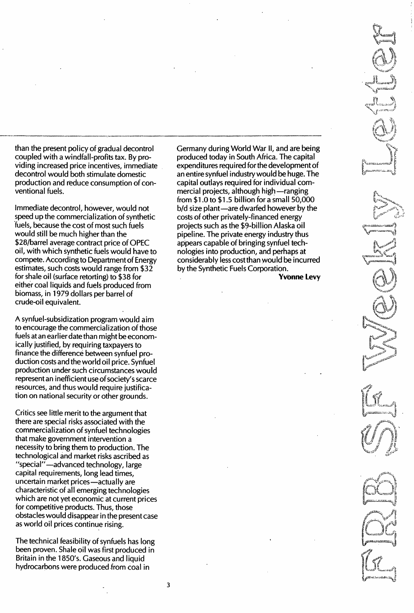than the present policy of gradual decontrol coupled with a windfall-profits tax. By providing increased price incentives, immediate decontrol would both stimulate domestic production and reduce consumption of conventional fuels.

Immediate decontrol, however, would not speed up the commercialization of synthetic 'fuels, because the cost of most such fuels would still be much higher than the \$28/barrel average contract price of OPEC oil, with which synthetic fuels would have to compete. According to Department of Energy estimates, such costs would range from \$32 for shale oil (surface retorting) to \$38 for either coal liquids and fuels produced from biomass, in 1979 dollars per barrel of crude-oil equivalent.

A synfuel-subsidization program would aim to encourage the commercialization of those fuels at an earlier date than might be economically justified, by requiring taxpayers to finance the difference between synfuel production costs and the world oil price. Synfuel production under such circumstances would represent an inefficient use of society's scarce resources, and thus would require justification on national security or other grounds.

Critics see little merit to the argument that there are special risks associated with the commercialization of synfuel technologies that make government intervention a necessity to bring them to production. The technological and market risks ascribed as "special"-advanced technology, large capital requirements, long lead times, uncertain market prices-actually are characteristic of all emerging technologies which are not yet economic at current prices for competitive products. Thus, those obstacles would disappear in the present case as world oil prices continue rising.

The technical feasibility of synfuels has long been proven. Shale oil was first produced in Britain in the 1850's. Gaseous and liquid hydrocarbons were produced from coal in

Germany during World War II, and are being produced today in South Africa. The capital expenditures required for the development of an entire synfuel industry would be huge. The capital outlays required for individual commercial projects, although high -ranging from \$1 .0 to \$1.5 billion for a small 50,000 b/d size plant—are dwarfed however by the costs of other privately-financed energy projects such as the \$9-billion Alaska oil pipeline. The private energy industry thus appears capable of bringing synfuel technologies into production, and perhaps at considerably less costthan would be incurred by the Synthetic Fuels Corporation.

Yvonne levy